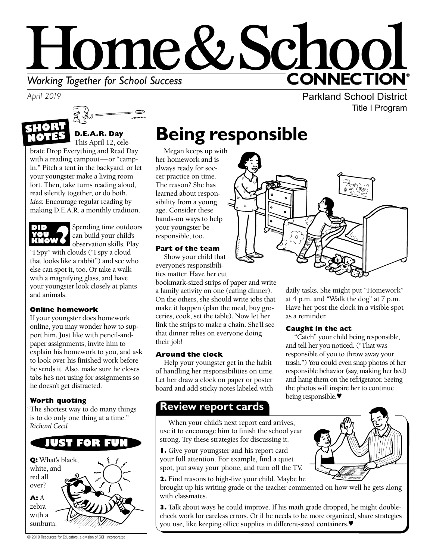

*April 2019*





#### **D.E.A.R. Day**  This April 12, cele-

brate Drop Everything and Read Day with a reading campout—or "campin." Pitch a tent in the backyard, or let your youngster make a living room fort. Then, take turns reading aloud, read silently together, or do both. *Idea:* Encourage regular reading by making D.E.A.R. a monthly tradition.



Spending time outdoors can build your child's observation skills. Play

"I Spy" with clouds ("I spy a cloud that looks like a rabbit") and see who else can spot it, too. Or take a walk with a magnifying glass, and have your youngster look closely at plants and animals.

#### **Online homework**

If your youngster does homework online, you may wonder how to support him. Just like with pencil-andpaper assignments, invite him to explain his homework to you, and ask to look over his finished work before he sends it. Also, make sure he closes tabs he's not using for assignments so he doesn't get distracted.

#### **Worth quoting**

"The shortest way to do many things is to do only one thing at a time." *Richard Cecil* 



# **Being responsible**

Megan keeps up with her homework and is always ready for soccer practice on time. The reason? She has learned about responsibility from a young age. Consider these hands-on ways to help your youngster be responsible, too.

#### **Part of the team**

Show your child that everyone's responsibilities matter. Have her cut

bookmark-sized strips of paper and write a family activity on one (eating dinner). On the others, she should write jobs that make it happen (plan the meal, buy groceries, cook, set the table). Now let her link the strips to make a chain. She'll see that dinner relies on everyone doing their job!

#### **Around the clock**

Help your youngster get in the habit of handling her responsibilities on time. Let her draw a clock on paper or poster board and add sticky notes labeled with

## **Review report cards**

When your child's next report card arrives, use it to encourage him to finish the school year strong. Try these strategies for discussing it.

**1.** Give your youngster and his report card your full attention. For example, find a quiet spot, put away your phone, and turn off the TV.

**2.** Find reasons to high-five your child. Maybe he



**3.** Talk about ways he could improve. If his math grade dropped, he might doublecheck work for careless errors. Or if he needs to be more organized, share strategies you use, like keeping office supplies in different-sized containers.♥

Parkland School District Title I Program



daily tasks. She might put "Homework" at 4 p.m. and "Walk the dog" at 7 p.m. Have her post the clock in a visible spot as a reminder.

#### **Caught in the act**

"Catch" your child being responsible, and tell her you noticed. ("That was responsible of you to throw away your trash.") You could even snap photos of her responsible behavior (say, making her bed) and hang them on the refrigerator. Seeing the photos will inspire her to continue being responsible.♥